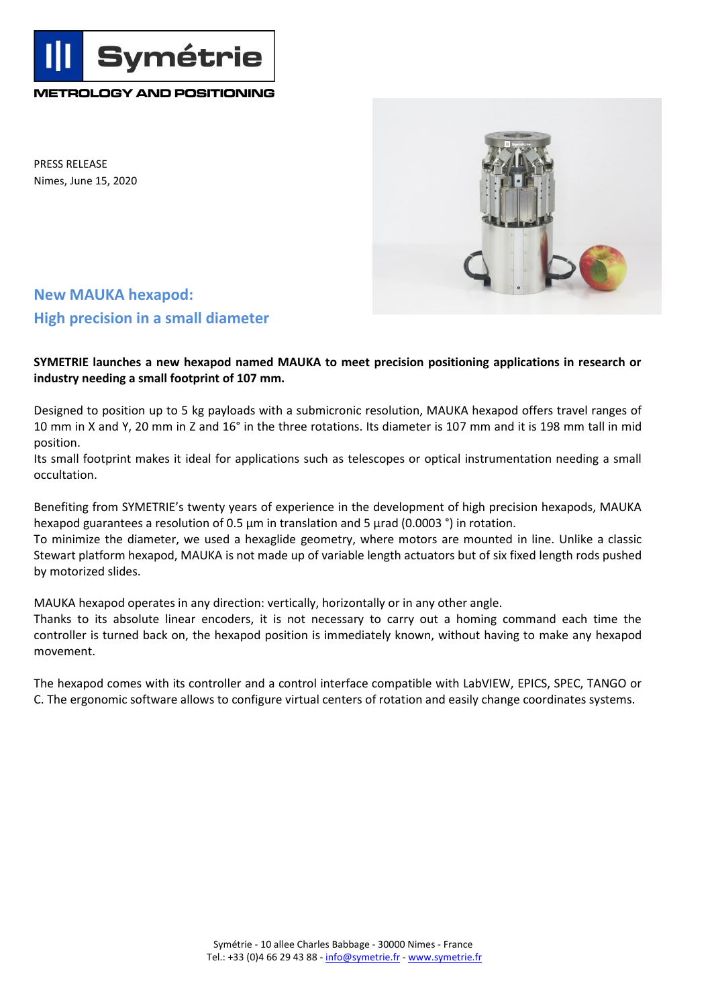**METROLOGY AND POSITIONING**

**Symétrie** 

PRESS RELEASE Nimes, June 15, 2020



## **New MAUKA hexapod: High precision in a small diameter**

**SYMETRIE launches a new hexapod named MAUKA to meet precision positioning applications in research or industry needing a small footprint of 107 mm.**

Designed to position up to 5 kg payloads with a submicronic resolution, MAUKA hexapod offers travel ranges of 10 mm in X and Y, 20 mm in Z and 16° in the three rotations. Its diameter is 107 mm and it is 198 mm tall in mid position.

Its small footprint makes it ideal for applications such as telescopes or optical instrumentation needing a small occultation.

Benefiting from SYMETRIE's twenty years of experience in the development of high precision hexapods, MAUKA hexapod guarantees a resolution of 0.5  $\mu$ m in translation and 5  $\mu$ rad (0.0003 °) in rotation.

To minimize the diameter, we used a hexaglide geometry, where motors are mounted in line. Unlike a classic Stewart platform hexapod, MAUKA is not made up of variable length actuators but of six fixed length rods pushed by motorized slides.

MAUKA hexapod operates in any direction: vertically, horizontally or in any other angle.

Thanks to its absolute linear encoders, it is not necessary to carry out a homing command each time the controller is turned back on, the hexapod position is immediately known, without having to make any hexapod movement.

The hexapod comes with its controller and a control interface compatible with LabVIEW, EPICS, SPEC, TANGO or C. The ergonomic software allows to configure virtual centers of rotation and easily change coordinates systems.